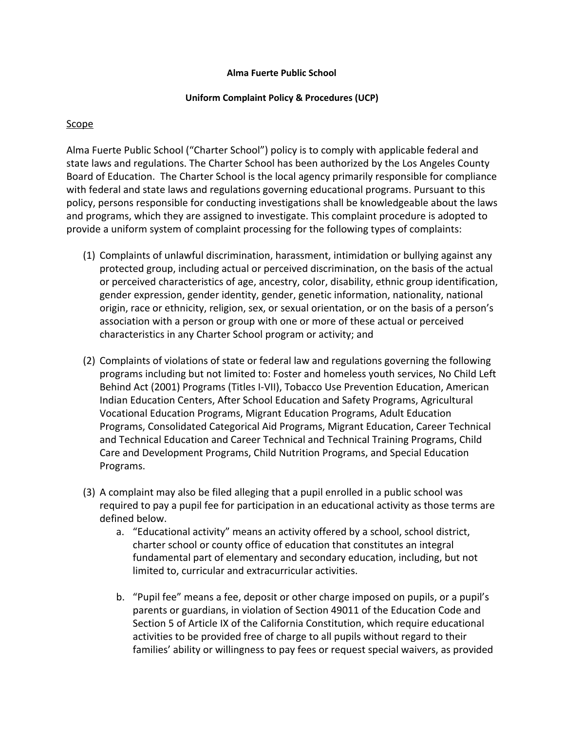#### **Alma Fuerte Public School**

#### **Uniform Complaint Policy & Procedures (UCP)**

### Scope

Alma Fuerte Public School ("Charter School") policy is to comply with applicable federal and state laws and regulations. The Charter School has been authorized by the Los Angeles County Board of Education. The Charter School is the local agency primarily responsible for compliance with federal and state laws and regulations governing educational programs. Pursuant to this policy, persons responsible for conducting investigations shall be knowledgeable about the laws and programs, which they are assigned to investigate. This complaint procedure is adopted to provide a uniform system of complaint processing for the following types of complaints:

- (1) Complaints of unlawful discrimination, harassment, intimidation or bullying against any protected group, including actual or perceived discrimination, on the basis of the actual or perceived characteristics of age, ancestry, color, disability, ethnic group identification, gender expression, gender identity, gender, genetic information, nationality, national origin, race or ethnicity, religion, sex, or sexual orientation, or on the basis of a person's association with a person or group with one or more of these actual or perceived characteristics in any Charter School program or activity; and
- (2) Complaints of violations of state or federal law and regulations governing the following programs including but not limited to: Foster and homeless youth services, No Child Left Behind Act (2001) Programs (Titles I-VII), Tobacco Use Prevention Education, American Indian Education Centers, After School Education and Safety Programs, Agricultural Vocational Education Programs, Migrant Education Programs, Adult Education Programs, Consolidated Categorical Aid Programs, Migrant Education, Career Technical and Technical Education and Career Technical and Technical Training Programs, Child Care and Development Programs, Child Nutrition Programs, and Special Education Programs.
- (3) A complaint may also be filed alleging that a pupil enrolled in a public school was required to pay a pupil fee for participation in an educational activity as those terms are defined below.
	- a. "Educational activity" means an activity offered by a school, school district, charter school or county office of education that constitutes an integral fundamental part of elementary and secondary education, including, but not limited to, curricular and extracurricular activities.
	- b. "Pupil fee" means a fee, deposit or other charge imposed on pupils, or a pupil's parents or guardians, in violation of Section 49011 of the Education Code and Section 5 of Article IX of the California Constitution, which require educational activities to be provided free of charge to all pupils without regard to their families' ability or willingness to pay fees or request special waivers, as provided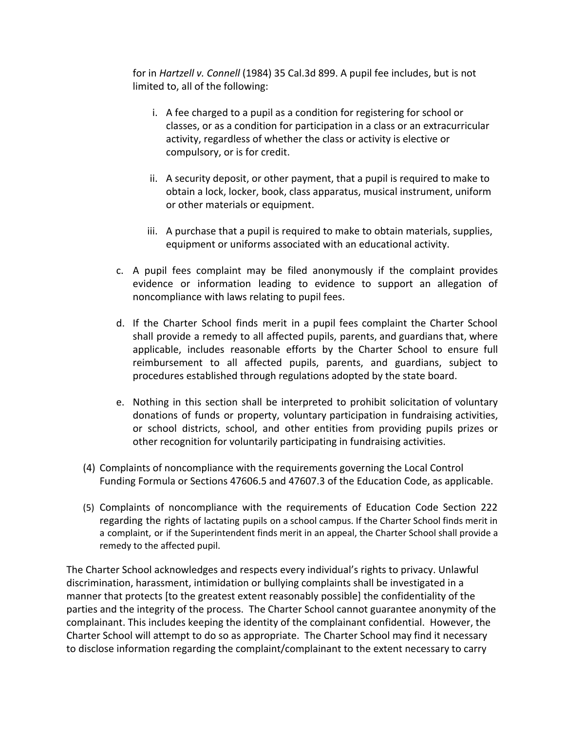for in *Hartzell v. Connell* (1984) 35 Cal.3d 899. A pupil fee includes, but is not limited to, all of the following:

- i. A fee charged to a pupil as a condition for registering for school or classes, or as a condition for participation in a class or an extracurricular activity, regardless of whether the class or activity is elective or compulsory, or is for credit.
- ii. A security deposit, or other payment, that a pupil is required to make to obtain a lock, locker, book, class apparatus, musical instrument, uniform or other materials or equipment.
- iii. A purchase that a pupil is required to make to obtain materials, supplies, equipment or uniforms associated with an educational activity.
- c. A pupil fees complaint may be filed anonymously if the complaint provides evidence or information leading to evidence to support an allegation of noncompliance with laws relating to pupil fees.
- d. If the Charter School finds merit in a pupil fees complaint the Charter School shall provide a remedy to all affected pupils, parents, and guardians that, where applicable, includes reasonable efforts by the Charter School to ensure full reimbursement to all affected pupils, parents, and guardians, subject to procedures established through regulations adopted by the state board.
- e. Nothing in this section shall be interpreted to prohibit solicitation of voluntary donations of funds or property, voluntary participation in fundraising activities, or school districts, school, and other entities from providing pupils prizes or other recognition for voluntarily participating in fundraising activities.
- (4) Complaints of noncompliance with the requirements governing the Local Control Funding Formula or Sections 47606.5 and 47607.3 of the Education Code, as applicable.
- (5) Complaints of noncompliance with the requirements of Education Code Section 222 regarding the rights of lactating pupils on a school campus. If the Charter School finds merit in a complaint, or if the Superintendent finds merit in an appeal, the Charter School shall provide a remedy to the affected pupil.

The Charter School acknowledges and respects every individual's rights to privacy. Unlawful discrimination, harassment, intimidation or bullying complaints shall be investigated in a manner that protects [to the greatest extent reasonably possible] the confidentiality of the parties and the integrity of the process. The Charter School cannot guarantee anonymity of the complainant. This includes keeping the identity of the complainant confidential. However, the Charter School will attempt to do so as appropriate. The Charter School may find it necessary to disclose information regarding the complaint/complainant to the extent necessary to carry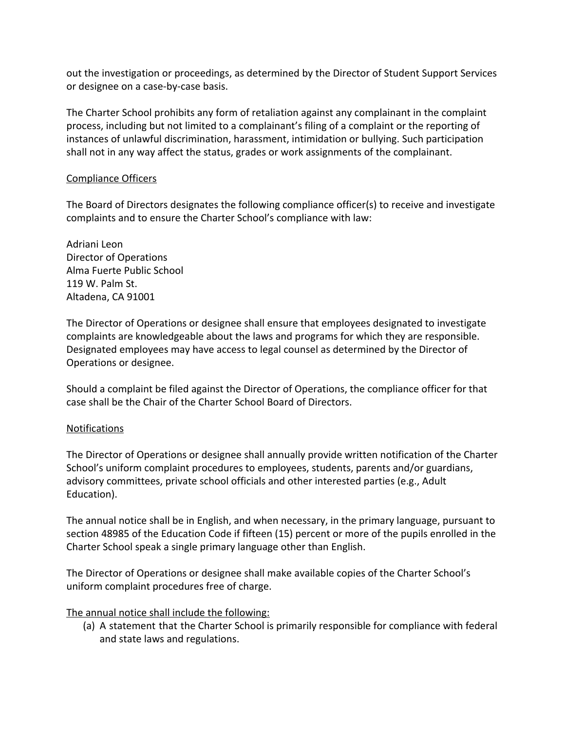out the investigation or proceedings, as determined by the Director of Student Support Services or designee on a case-by-case basis.

The Charter School prohibits any form of retaliation against any complainant in the complaint process, including but not limited to a complainant's filing of a complaint or the reporting of instances of unlawful discrimination, harassment, intimidation or bullying. Such participation shall not in any way affect the status, grades or work assignments of the complainant.

# Compliance Officers

The Board of Directors designates the following compliance officer(s) to receive and investigate complaints and to ensure the Charter School's compliance with law:

Adriani Leon Director of Operations Alma Fuerte Public School 119 W. Palm St. Altadena, CA 91001

The Director of Operations or designee shall ensure that employees designated to investigate complaints are knowledgeable about the laws and programs for which they are responsible. Designated employees may have access to legal counsel as determined by the Director of Operations or designee.

Should a complaint be filed against the Director of Operations, the compliance officer for that case shall be the Chair of the Charter School Board of Directors.

### Notifications

The Director of Operations or designee shall annually provide written notification of the Charter School's uniform complaint procedures to employees, students, parents and/or guardians, advisory committees, private school officials and other interested parties (e.g., Adult Education).

The annual notice shall be in English, and when necessary, in the primary language, pursuant to section 48985 of the Education Code if fifteen (15) percent or more of the pupils enrolled in the Charter School speak a single primary language other than English.

The Director of Operations or designee shall make available copies of the Charter School's uniform complaint procedures free of charge.

### The annual notice shall include the following:

(a) A statement that the Charter School is primarily responsible for compliance with federal and state laws and regulations.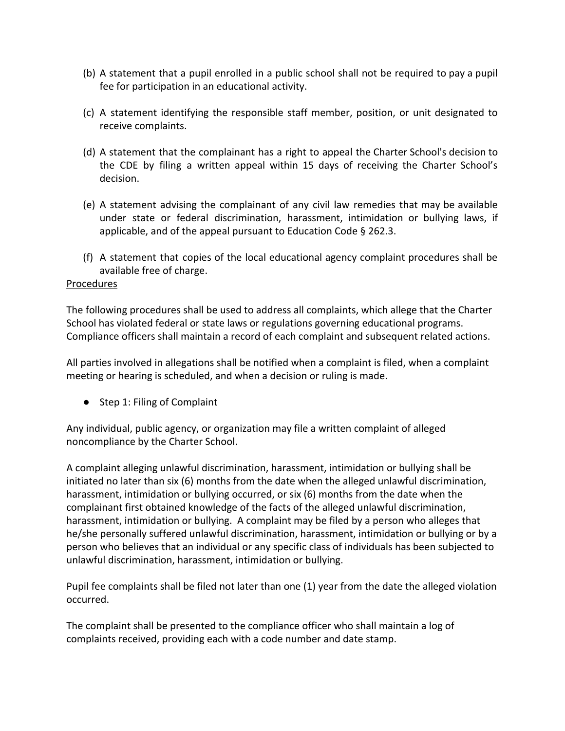- (b) A statement that a pupil enrolled in a public school shall not be required to pay a pupil fee for participation in an educational activity.
- (c) A statement identifying the responsible staff member, position, or unit designated to receive complaints.
- (d) A statement that the complainant has a right to appeal the Charter School's decision to the CDE by filing a written appeal within 15 days of receiving the Charter School's decision.
- (e) A statement advising the complainant of any civil law remedies that may be available under state or federal discrimination, harassment, intimidation or bullying laws, if applicable, and of the appeal pursuant to Education Code § 262.3.
- (f) A statement that copies of the local educational agency complaint procedures shall be available free of charge.

### Procedures

The following procedures shall be used to address all complaints, which allege that the Charter School has violated federal or state laws or regulations governing educational programs. Compliance officers shall maintain a record of each complaint and subsequent related actions.

All parties involved in allegations shall be notified when a complaint is filed, when a complaint meeting or hearing is scheduled, and when a decision or ruling is made.

● Step 1: Filing of Complaint

Any individual, public agency, or organization may file a written complaint of alleged noncompliance by the Charter School.

A complaint alleging unlawful discrimination, harassment, intimidation or bullying shall be initiated no later than six (6) months from the date when the alleged unlawful discrimination, harassment, intimidation or bullying occurred, or six (6) months from the date when the complainant first obtained knowledge of the facts of the alleged unlawful discrimination, harassment, intimidation or bullying. A complaint may be filed by a person who alleges that he/she personally suffered unlawful discrimination, harassment, intimidation or bullying or by a person who believes that an individual or any specific class of individuals has been subjected to unlawful discrimination, harassment, intimidation or bullying.

Pupil fee complaints shall be filed not later than one (1) year from the date the alleged violation occurred.

The complaint shall be presented to the compliance officer who shall maintain a log of complaints received, providing each with a code number and date stamp.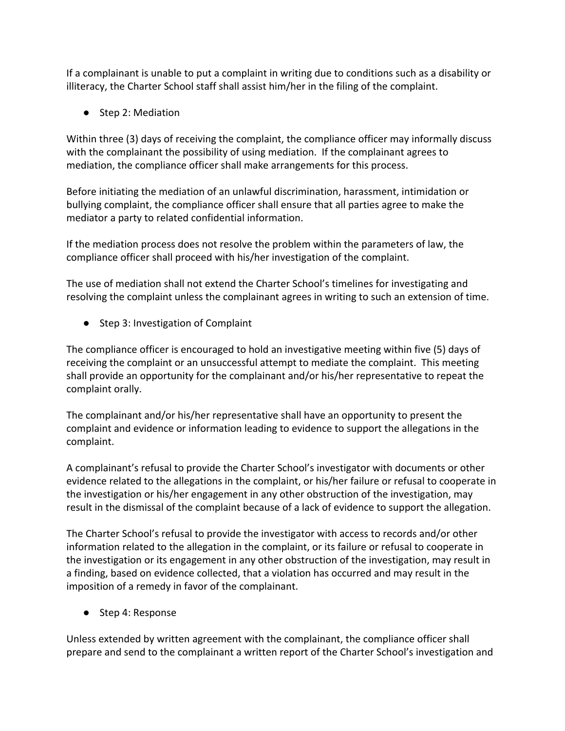If a complainant is unable to put a complaint in writing due to conditions such as a disability or illiteracy, the Charter School staff shall assist him/her in the filing of the complaint.

● Step 2: Mediation

Within three (3) days of receiving the complaint, the compliance officer may informally discuss with the complainant the possibility of using mediation. If the complainant agrees to mediation, the compliance officer shall make arrangements for this process.

Before initiating the mediation of an unlawful discrimination, harassment, intimidation or bullying complaint, the compliance officer shall ensure that all parties agree to make the mediator a party to related confidential information.

If the mediation process does not resolve the problem within the parameters of law, the compliance officer shall proceed with his/her investigation of the complaint.

The use of mediation shall not extend the Charter School's timelines for investigating and resolving the complaint unless the complainant agrees in writing to such an extension of time.

● Step 3: Investigation of Complaint

The compliance officer is encouraged to hold an investigative meeting within five (5) days of receiving the complaint or an unsuccessful attempt to mediate the complaint. This meeting shall provide an opportunity for the complainant and/or his/her representative to repeat the complaint orally.

The complainant and/or his/her representative shall have an opportunity to present the complaint and evidence or information leading to evidence to support the allegations in the complaint.

A complainant's refusal to provide the Charter School's investigator with documents or other evidence related to the allegations in the complaint, or his/her failure or refusal to cooperate in the investigation or his/her engagement in any other obstruction of the investigation, may result in the dismissal of the complaint because of a lack of evidence to support the allegation.

The Charter School's refusal to provide the investigator with access to records and/or other information related to the allegation in the complaint, or its failure or refusal to cooperate in the investigation or its engagement in any other obstruction of the investigation, may result in a finding, based on evidence collected, that a violation has occurred and may result in the imposition of a remedy in favor of the complainant.

● Step 4: Response

Unless extended by written agreement with the complainant, the compliance officer shall prepare and send to the complainant a written report of the Charter School's investigation and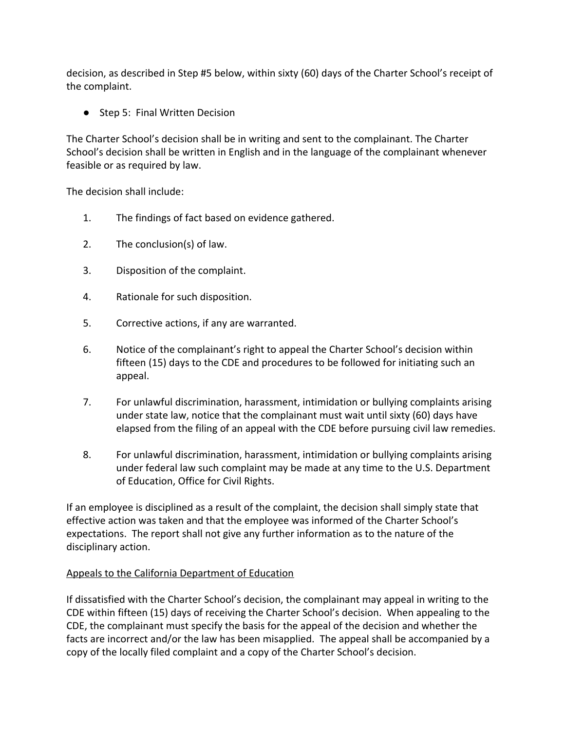decision, as described in Step #5 below, within sixty (60) days of the Charter School's receipt of the complaint.

● Step 5: Final Written Decision

The Charter School's decision shall be in writing and sent to the complainant. The Charter School's decision shall be written in English and in the language of the complainant whenever feasible or as required by law.

The decision shall include:

- 1. The findings of fact based on evidence gathered.
- 2. The conclusion(s) of law.
- 3. Disposition of the complaint.
- 4. Rationale for such disposition.
- 5. Corrective actions, if any are warranted.
- 6. Notice of the complainant's right to appeal the Charter School's decision within fifteen (15) days to the CDE and procedures to be followed for initiating such an appeal.
- 7. For unlawful discrimination, harassment, intimidation or bullying complaints arising under state law, notice that the complainant must wait until sixty (60) days have elapsed from the filing of an appeal with the CDE before pursuing civil law remedies.
- 8. For unlawful discrimination, harassment, intimidation or bullying complaints arising under federal law such complaint may be made at any time to the U.S. Department of Education, Office for Civil Rights.

If an employee is disciplined as a result of the complaint, the decision shall simply state that effective action was taken and that the employee was informed of the Charter School's expectations. The report shall not give any further information as to the nature of the disciplinary action.

# Appeals to the California Department of Education

If dissatisfied with the Charter School's decision, the complainant may appeal in writing to the CDE within fifteen (15) days of receiving the Charter School's decision. When appealing to the CDE, the complainant must specify the basis for the appeal of the decision and whether the facts are incorrect and/or the law has been misapplied. The appeal shall be accompanied by a copy of the locally filed complaint and a copy of the Charter School's decision.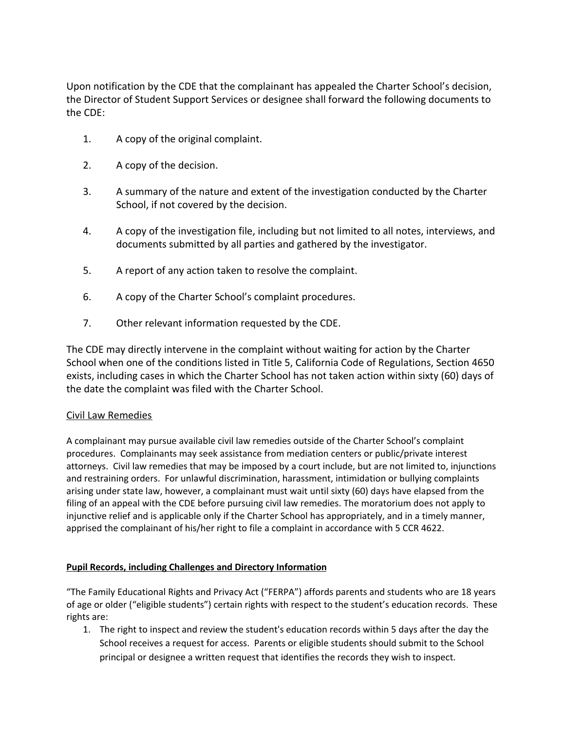Upon notification by the CDE that the complainant has appealed the Charter School's decision, the Director of Student Support Services or designee shall forward the following documents to the CDE:

- 1. A copy of the original complaint.
- 2. A copy of the decision.
- 3. A summary of the nature and extent of the investigation conducted by the Charter School, if not covered by the decision.
- 4. A copy of the investigation file, including but not limited to all notes, interviews, and documents submitted by all parties and gathered by the investigator.
- 5. A report of any action taken to resolve the complaint.
- 6. A copy of the Charter School's complaint procedures.
- 7. Other relevant information requested by the CDE.

The CDE may directly intervene in the complaint without waiting for action by the Charter School when one of the conditions listed in Title 5, California Code of Regulations, Section 4650 exists, including cases in which the Charter School has not taken action within sixty (60) days of the date the complaint was filed with the Charter School.

### Civil Law Remedies

A complainant may pursue available civil law remedies outside of the Charter School's complaint procedures. Complainants may seek assistance from mediation centers or public/private interest attorneys. Civil law remedies that may be imposed by a court include, but are not limited to, injunctions and restraining orders. For unlawful discrimination, harassment, intimidation or bullying complaints arising under state law, however, a complainant must wait until sixty (60) days have elapsed from the filing of an appeal with the CDE before pursuing civil law remedies. The moratorium does not apply to injunctive relief and is applicable only if the Charter School has appropriately, and in a timely manner, apprised the complainant of his/her right to file a complaint in accordance with 5 CCR 4622.

### **Pupil Records, including Challenges and Directory Information**

"The Family Educational Rights and Privacy Act ("FERPA") affords parents and students who are 18 years of age or older ("eligible students") certain rights with respect to the student's education records. These rights are:

1. The right to inspect and review the student's education records within 5 days after the day the School receives a request for access. Parents or eligible students should submit to the School principal or designee a written request that identifies the records they wish to inspect.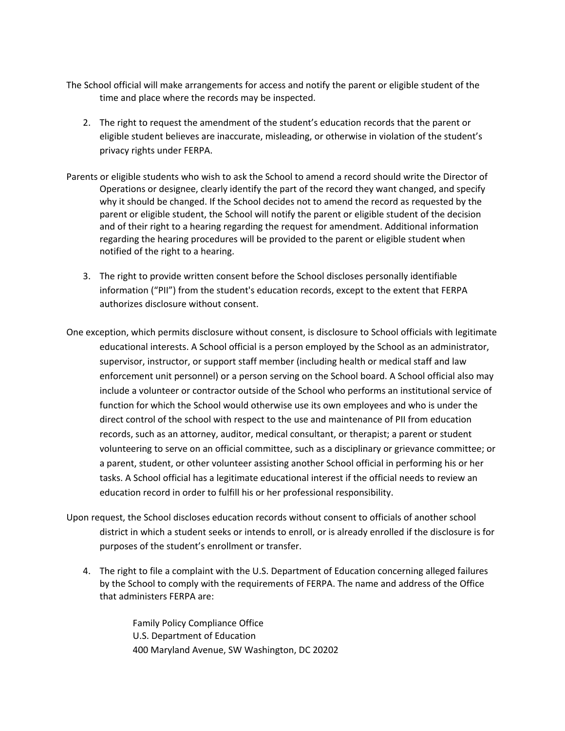- The School official will make arrangements for access and notify the parent or eligible student of the time and place where the records may be inspected.
	- 2. The right to request the amendment of the student's education records that the parent or eligible student believes are inaccurate, misleading, or otherwise in violation of the student's privacy rights under FERPA.
- Parents or eligible students who wish to ask the School to amend a record should write the Director of Operations or designee, clearly identify the part of the record they want changed, and specify why it should be changed. If the School decides not to amend the record as requested by the parent or eligible student, the School will notify the parent or eligible student of the decision and of their right to a hearing regarding the request for amendment. Additional information regarding the hearing procedures will be provided to the parent or eligible student when notified of the right to a hearing.
	- 3. The right to provide written consent before the School discloses personally identifiable information ("PII") from the student's education records, except to the extent that FERPA authorizes disclosure without consent.
- One exception, which permits disclosure without consent, is disclosure to School officials with legitimate educational interests. A School official is a person employed by the School as an administrator, supervisor, instructor, or support staff member (including health or medical staff and law enforcement unit personnel) or a person serving on the School board. A School official also may include a volunteer or contractor outside of the School who performs an institutional service of function for which the School would otherwise use its own employees and who is under the direct control of the school with respect to the use and maintenance of PII from education records, such as an attorney, auditor, medical consultant, or therapist; a parent or student volunteering to serve on an official committee, such as a disciplinary or grievance committee; or a parent, student, or other volunteer assisting another School official in performing his or her tasks. A School official has a legitimate educational interest if the official needs to review an education record in order to fulfill his or her professional responsibility.
- Upon request, the School discloses education records without consent to officials of another school district in which a student seeks or intends to enroll, or is already enrolled if the disclosure is for purposes of the student's enrollment or transfer.
	- 4. The right to file a complaint with the U.S. Department of Education concerning alleged failures by the School to comply with the requirements of FERPA. The name and address of the Office that administers FERPA are:

Family Policy Compliance Office U.S. Department of Education 400 Maryland Avenue, SW Washington, DC 20202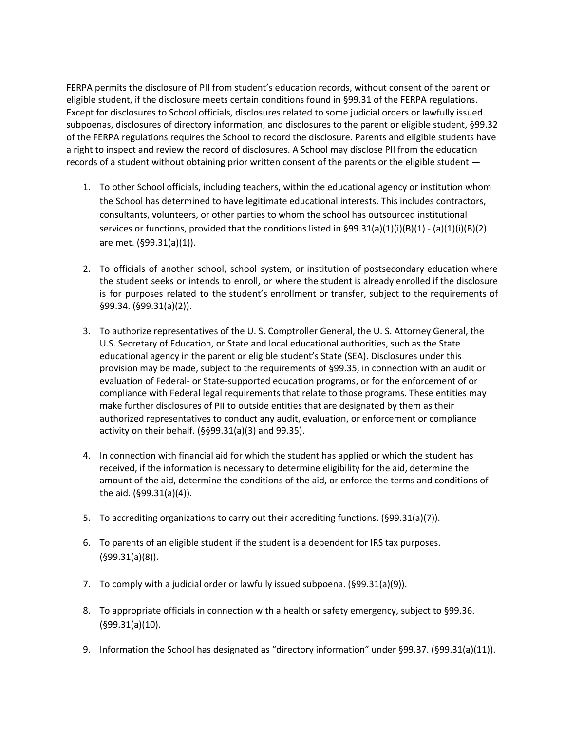FERPA permits the disclosure of PII from student's education records, without consent of the parent or eligible student, if the disclosure meets certain conditions found in §99.31 of the FERPA regulations. Except for disclosures to School officials, disclosures related to some judicial orders or lawfully issued subpoenas, disclosures of directory information, and disclosures to the parent or eligible student, §99.32 of the FERPA regulations requires the School to record the disclosure. Parents and eligible students have a right to inspect and review the record of disclosures. A School may disclose PII from the education records of a student without obtaining prior written consent of the parents or the eligible student —

- 1. To other School officials, including teachers, within the educational agency or institution whom the School has determined to have legitimate educational interests. This includes contractors, consultants, volunteers, or other parties to whom the school has outsourced institutional services or functions, provided that the conditions listed in §99.31(a)(1)(i)(B)(1) - (a)(1)(i)(B)(2) are met. (§99.31(a)(1)).
- 2. To officials of another school, school system, or institution of postsecondary education where the student seeks or intends to enroll, or where the student is already enrolled if the disclosure is for purposes related to the student's enrollment or transfer, subject to the requirements of §99.34. (§99.31(a)(2)).
- 3. To authorize representatives of the U. S. Comptroller General, the U. S. Attorney General, the U.S. Secretary of Education, or State and local educational authorities, such as the State educational agency in the parent or eligible student's State (SEA). Disclosures under this provision may be made, subject to the requirements of §99.35, in connection with an audit or evaluation of Federal- or State-supported education programs, or for the enforcement of or compliance with Federal legal requirements that relate to those programs. These entities may make further disclosures of PII to outside entities that are designated by them as their authorized representatives to conduct any audit, evaluation, or enforcement or compliance activity on their behalf. (§§99.31(a)(3) and 99.35).
- 4. In connection with financial aid for which the student has applied or which the student has received, if the information is necessary to determine eligibility for the aid, determine the amount of the aid, determine the conditions of the aid, or enforce the terms and conditions of the aid. (§99.31(a)(4)).
- 5. To accrediting organizations to carry out their accrediting functions. (§99.31(a)(7)).
- 6. To parents of an eligible student if the student is a dependent for IRS tax purposes. (§99.31(a)(8)).
- 7. To comply with a judicial order or lawfully issued subpoena. (§99.31(a)(9)).
- 8. To appropriate officials in connection with a health or safety emergency, subject to §99.36. (§99.31(a)(10).
- 9. Information the School has designated as "directory information" under §99.37. (§99.31(a)(11)).